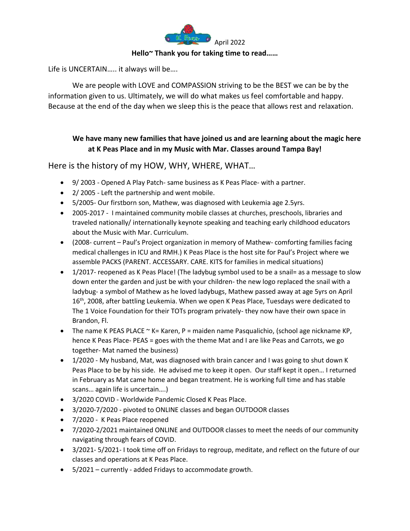

#### **Hello~ Thank you for taking time to read……**

Life is UNCERTAIN….. it always will be….

We are people with LOVE and COMPASSION striving to be the BEST we can be by the information given to us. Ultimately, we will do what makes us feel comfortable and happy. Because at the end of the day when we sleep this is the peace that allows rest and relaxation.

# **We have many new families that have joined us and are learning about the magic here at K Peas Place and in my Music with Mar. Classes around Tampa Bay!**

## Here is the history of my HOW, WHY, WHERE, WHAT…

- 9/ 2003 Opened A Play Patch- same business as K Peas Place- with a partner.
- 2/ 2005 Left the partnership and went mobile.
- 5/2005- Our firstborn son, Mathew, was diagnosed with Leukemia age 2.5yrs.
- 2005-2017 I maintained community mobile classes at churches, preschools, libraries and traveled nationally/ internationally keynote speaking and teaching early childhood educators about the Music with Mar. Curriculum.
- (2008- current Paul's Project organization in memory of Mathew- comforting families facing medical challenges in ICU and RMH.) K Peas Place is the host site for Paul's Project where we assemble PACKS (PARENT. ACCESSARY. CARE. KITS for families in medical situations)
- 1/2017- reopened as K Peas Place! (The ladybug symbol used to be a snail= as a message to slow down enter the garden and just be with your children- the new logo replaced the snail with a ladybug- a symbol of Mathew as he loved ladybugs, Mathew passed away at age 5yrs on April 16<sup>th</sup>, 2008, after battling Leukemia. When we open K Peas Place, Tuesdays were dedicated to The 1 Voice Foundation for their TOTs program privately- they now have their own space in Brandon, Fl.
- The name K PEAS PLACE  $\sim$  K= Karen, P = maiden name Pasqualichio, (school age nickname KP, hence K Peas Place- PEAS = goes with the theme Mat and I are like Peas and Carrots, we go together- Mat named the business)
- 1/2020 My husband, Mat, was diagnosed with brain cancer and I was going to shut down K Peas Place to be by his side. He advised me to keep it open. Our staff kept it open… I returned in February as Mat came home and began treatment. He is working full time and has stable scans… again life is uncertain….)
- 3/2020 COVID Worldwide Pandemic Closed K Peas Place.
- 3/2020-7/2020 pivoted to ONLINE classes and began OUTDOOR classes
- 7/2020 K Peas Place reopened
- 7/2020-2/2021 maintained ONLINE and OUTDOOR classes to meet the needs of our community navigating through fears of COVID.
- 3/2021- 5/2021- I took time off on Fridays to regroup, meditate, and reflect on the future of our classes and operations at K Peas Place.
- 5/2021 currently added Fridays to accommodate growth.